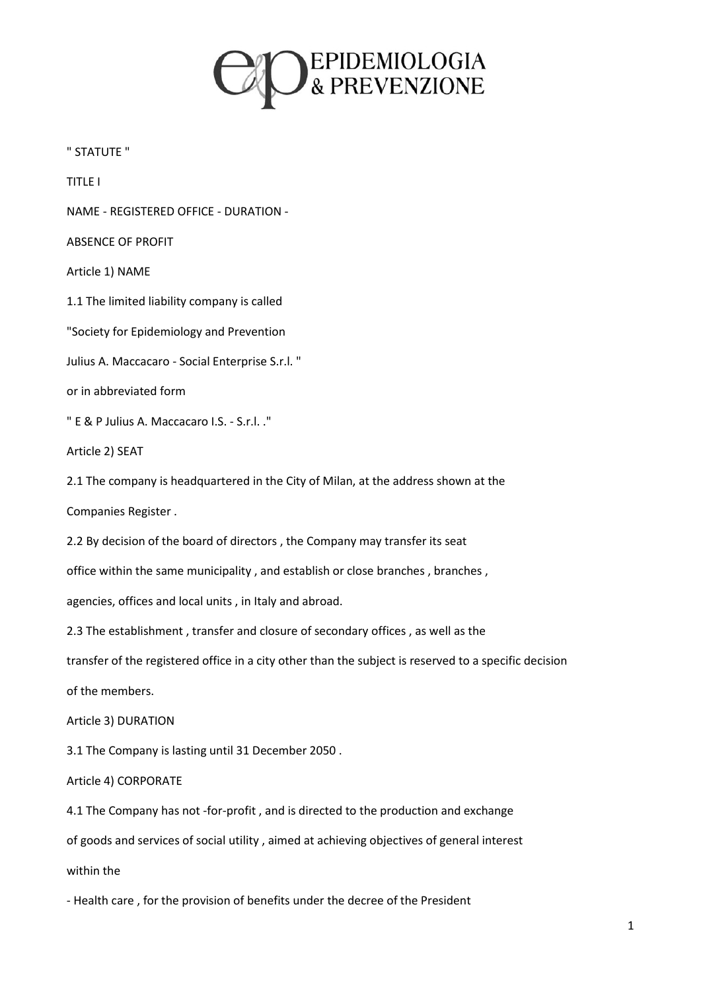

" STATUTE "

TITLE I

NAME - REGISTERED OFFICE - DURATION -

ABSENCE OF PROFIT

Article 1) NAME

1.1 The limited liability company is called

"Society for Epidemiology and Prevention

Julius A. Maccacaro - Social Enterprise S.r.l. "

or in abbreviated form

" E & P Julius A. Maccacaro I.S. - S.r.l. ."

Article 2) SEAT

2.1 The company is headquartered in the City of Milan, at the address shown at the

Companies Register .

2.2 By decision of the board of directors , the Company may transfer its seat

office within the same municipality , and establish or close branches , branches ,

agencies, offices and local units , in Italy and abroad.

2.3 The establishment , transfer and closure of secondary offices , as well as the

transfer of the registered office in a city other than the subject is reserved to a specific decision

of the members.

Article 3) DURATION

3.1 The Company is lasting until 31 December 2050 .

Article 4) CORPORATE

4.1 The Company has not -for-profit , and is directed to the production and exchange

of goods and services of social utility , aimed at achieving objectives of general interest

within the

- Health care , for the provision of benefits under the decree of the President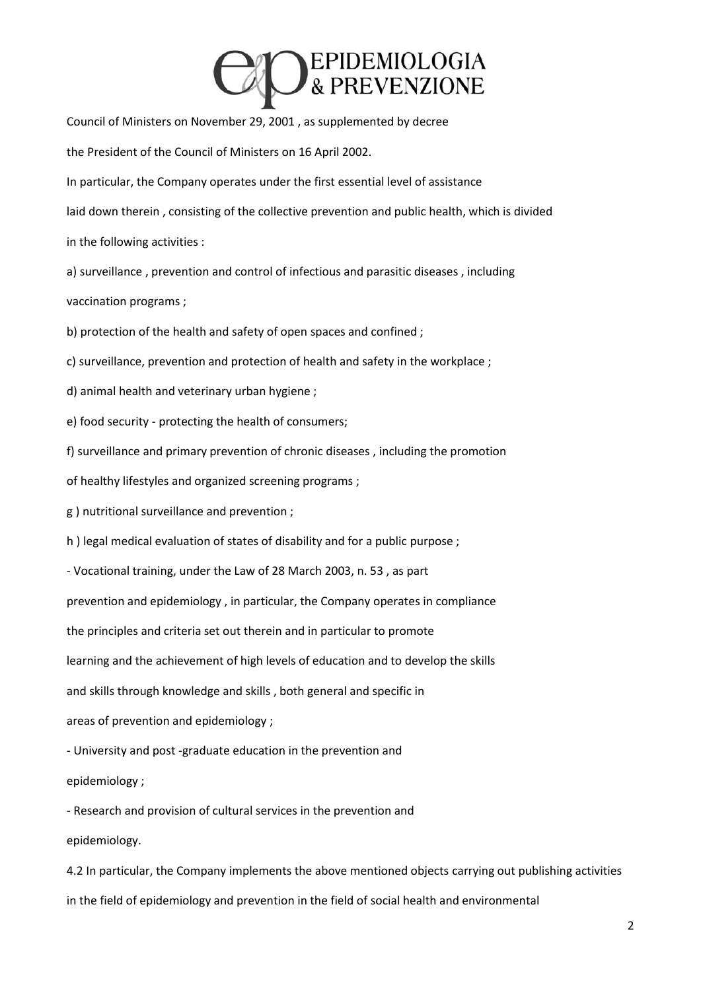### EPIDEMIOLOGIA

Council of Ministers on November 29, 2001 , as supplemented by decree the President of the Council of Ministers on 16 April 2002. In particular, the Company operates under the first essential level of assistance laid down therein , consisting of the collective prevention and public health, which is divided in the following activities : a) surveillance , prevention and control of infectious and parasitic diseases , including vaccination programs ; b) protection of the health and safety of open spaces and confined ; c) surveillance, prevention and protection of health and safety in the workplace ; d) animal health and veterinary urban hygiene ; e) food security - protecting the health of consumers; f) surveillance and primary prevention of chronic diseases , including the promotion of healthy lifestyles and organized screening programs ;

g ) nutritional surveillance and prevention ;

h ) legal medical evaluation of states of disability and for a public purpose ;

- Vocational training, under the Law of 28 March 2003, n. 53 , as part

prevention and epidemiology , in particular, the Company operates in compliance

the principles and criteria set out therein and in particular to promote

learning and the achievement of high levels of education and to develop the skills

and skills through knowledge and skills , both general and specific in

areas of prevention and epidemiology ;

- University and post -graduate education in the prevention and

epidemiology ;

- Research and provision of cultural services in the prevention and epidemiology.

4.2 In particular, the Company implements the above mentioned objects carrying out publishing activities in the field of epidemiology and prevention in the field of social health and environmental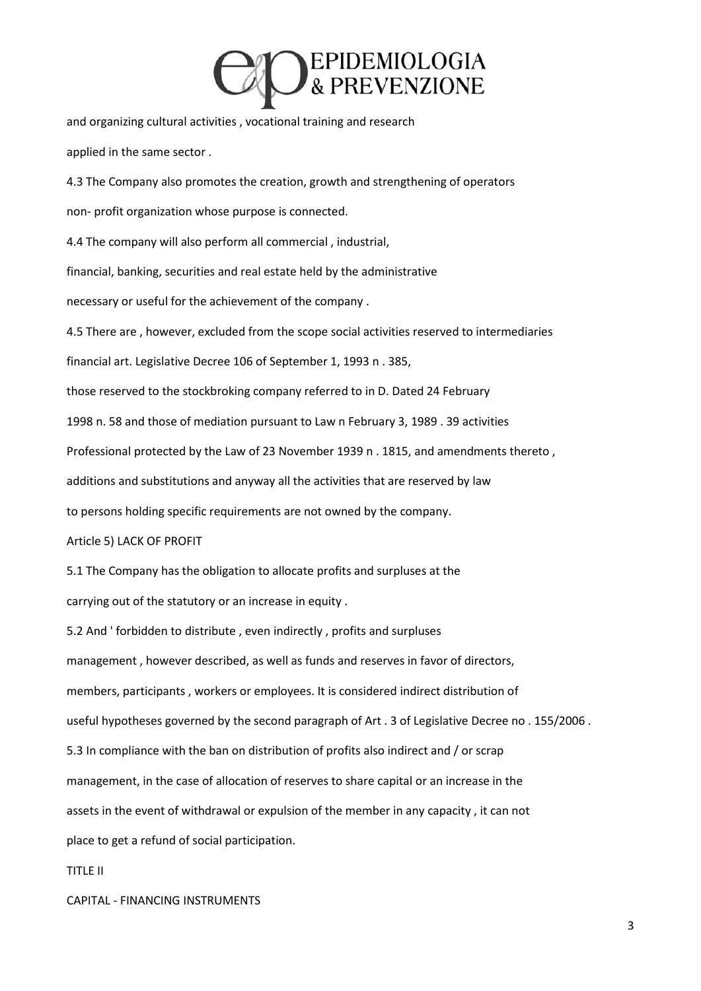### EPIDEMIOLOGIA<br>& PREVENZIONE

and organizing cultural activities , vocational training and research

applied in the same sector .

4.3 The Company also promotes the creation, growth and strengthening of operators non- profit organization whose purpose is connected.

4.4 The company will also perform all commercial , industrial,

financial, banking, securities and real estate held by the administrative

necessary or useful for the achievement of the company .

4.5 There are , however, excluded from the scope social activities reserved to intermediaries

financial art. Legislative Decree 106 of September 1, 1993 n . 385,

those reserved to the stockbroking company referred to in D. Dated 24 February

1998 n. 58 and those of mediation pursuant to Law n February 3, 1989 . 39 activities

Professional protected by the Law of 23 November 1939 n . 1815, and amendments thereto ,

additions and substitutions and anyway all the activities that are reserved by law

to persons holding specific requirements are not owned by the company.

Article 5) LACK OF PROFIT

5.1 The Company has the obligation to allocate profits and surpluses at the

carrying out of the statutory or an increase in equity .

5.2 And ' forbidden to distribute , even indirectly , profits and surpluses management , however described, as well as funds and reserves in favor of directors, members, participants , workers or employees. It is considered indirect distribution of useful hypotheses governed by the second paragraph of Art . 3 of Legislative Decree no . 155/2006 . 5.3 In compliance with the ban on distribution of profits also indirect and / or scrap management, in the case of allocation of reserves to share capital or an increase in the assets in the event of withdrawal or expulsion of the member in any capacity , it can not place to get a refund of social participation.

TITLE II

CAPITAL - FINANCING INSTRUMENTS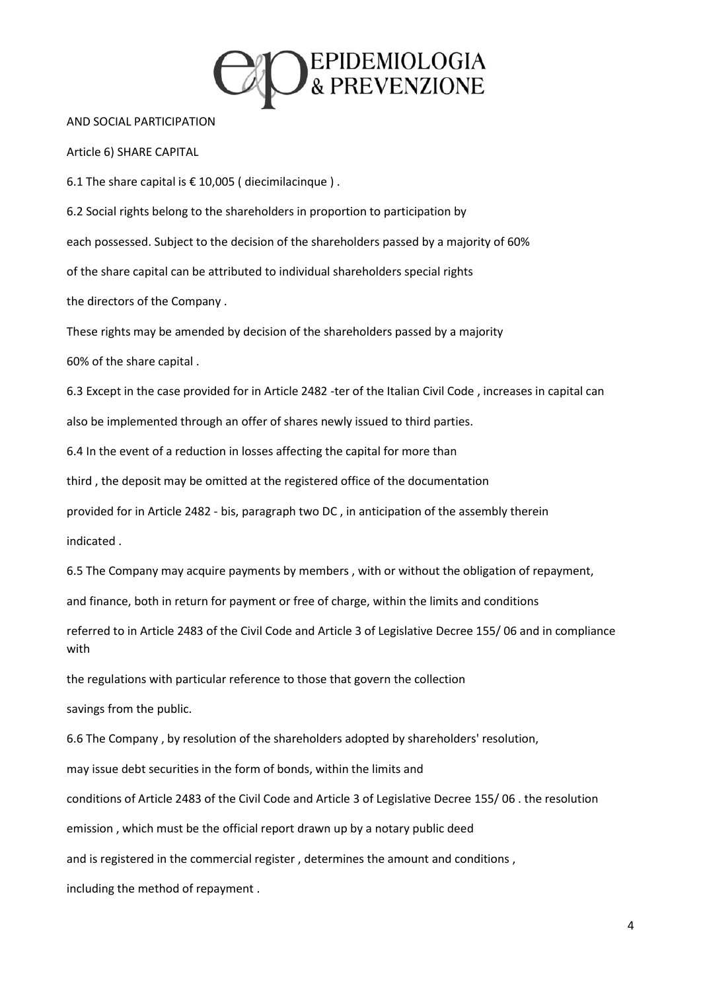

#### AND SOCIAL PARTICIPATION

Article 6) SHARE CAPITAL

6.1 The share capital is  $\epsilon$  10,005 (diecimilacinque).

6.2 Social rights belong to the shareholders in proportion to participation by each possessed. Subject to the decision of the shareholders passed by a majority of 60% of the share capital can be attributed to individual shareholders special rights the directors of the Company .

These rights may be amended by decision of the shareholders passed by a majority

60% of the share capital .

6.3 Except in the case provided for in Article 2482 -ter of the Italian Civil Code , increases in capital can

also be implemented through an offer of shares newly issued to third parties.

6.4 In the event of a reduction in losses affecting the capital for more than

third , the deposit may be omitted at the registered office of the documentation

provided for in Article 2482 - bis, paragraph two DC , in anticipation of the assembly therein

indicated .

6.5 The Company may acquire payments by members , with or without the obligation of repayment,

and finance, both in return for payment or free of charge, within the limits and conditions

referred to in Article 2483 of the Civil Code and Article 3 of Legislative Decree 155/ 06 and in compliance with

the regulations with particular reference to those that govern the collection

savings from the public.

6.6 The Company , by resolution of the shareholders adopted by shareholders' resolution,

may issue debt securities in the form of bonds, within the limits and

conditions of Article 2483 of the Civil Code and Article 3 of Legislative Decree 155/ 06 . the resolution

emission , which must be the official report drawn up by a notary public deed

and is registered in the commercial register , determines the amount and conditions ,

including the method of repayment .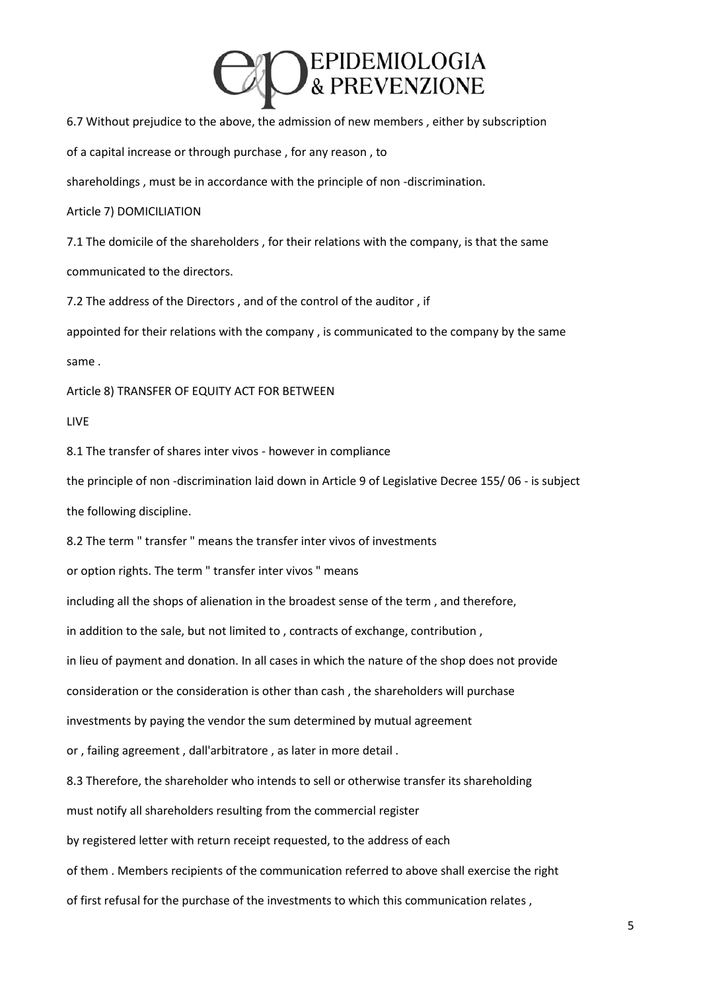

6.7 Without prejudice to the above, the admission of new members , either by subscription

of a capital increase or through purchase , for any reason , to

shareholdings , must be in accordance with the principle of non -discrimination.

### Article 7) DOMICILIATION

7.1 The domicile of the shareholders , for their relations with the company, is that the same communicated to the directors.

7.2 The address of the Directors , and of the control of the auditor , if

appointed for their relations with the company , is communicated to the company by the same same .

Article 8) TRANSFER OF EQUITY ACT FOR BETWEEN

LIVE

8.1 The transfer of shares inter vivos - however in compliance

the principle of non -discrimination laid down in Article 9 of Legislative Decree 155/ 06 - is subject the following discipline.

8.2 The term " transfer " means the transfer inter vivos of investments

or option rights. The term " transfer inter vivos " means

including all the shops of alienation in the broadest sense of the term , and therefore,

in addition to the sale, but not limited to , contracts of exchange, contribution ,

in lieu of payment and donation. In all cases in which the nature of the shop does not provide

consideration or the consideration is other than cash , the shareholders will purchase

investments by paying the vendor the sum determined by mutual agreement

or , failing agreement , dall'arbitratore , as later in more detail .

8.3 Therefore, the shareholder who intends to sell or otherwise transfer its shareholding

must notify all shareholders resulting from the commercial register

by registered letter with return receipt requested, to the address of each

of them . Members recipients of the communication referred to above shall exercise the right

of first refusal for the purchase of the investments to which this communication relates ,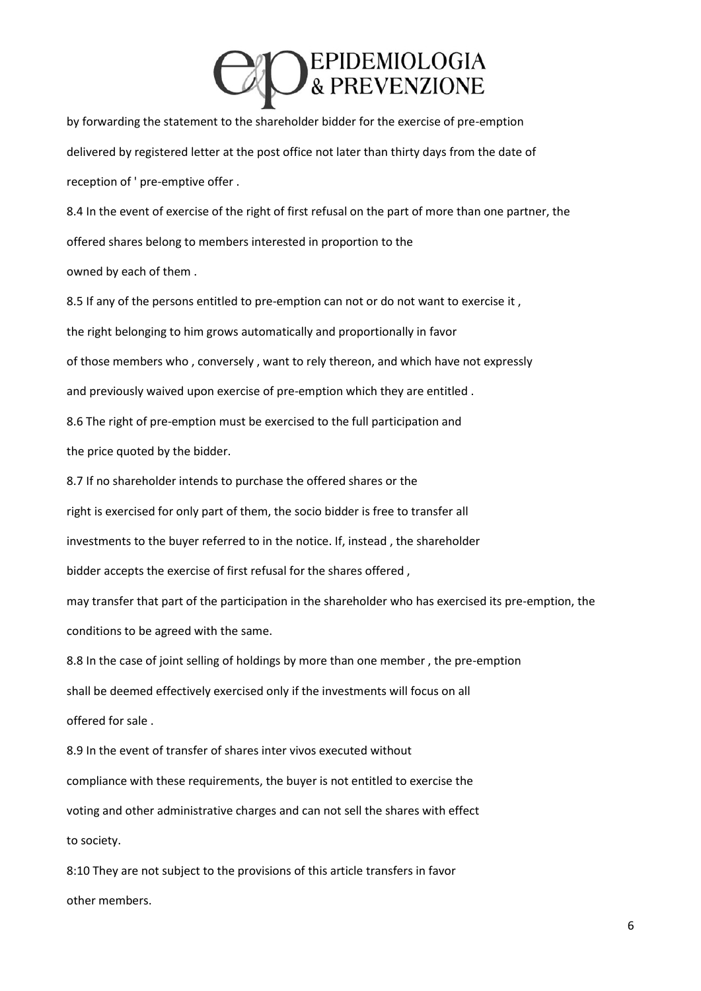# **OEPIDEMIOLOGIA**<br>& PREVENZIONE

by forwarding the statement to the shareholder bidder for the exercise of pre-emption delivered by registered letter at the post office not later than thirty days from the date of reception of ' pre-emptive offer .

8.4 In the event of exercise of the right of first refusal on the part of more than one partner, the offered shares belong to members interested in proportion to the owned by each of them .

8.5 If any of the persons entitled to pre-emption can not or do not want to exercise it, the right belonging to him grows automatically and proportionally in favor of those members who , conversely , want to rely thereon, and which have not expressly and previously waived upon exercise of pre-emption which they are entitled . 8.6 The right of pre-emption must be exercised to the full participation and the price quoted by the bidder. 8.7 If no shareholder intends to purchase the offered shares or the right is exercised for only part of them, the socio bidder is free to transfer all investments to the buyer referred to in the notice. If, instead , the shareholder bidder accepts the exercise of first refusal for the shares offered , may transfer that part of the participation in the shareholder who has exercised its pre-emption, the conditions to be agreed with the same. 8.8 In the case of joint selling of holdings by more than one member , the pre-emption

shall be deemed effectively exercised only if the investments will focus on all

offered for sale .

8.9 In the event of transfer of shares inter vivos executed without compliance with these requirements, the buyer is not entitled to exercise the voting and other administrative charges and can not sell the shares with effect to society.

8:10 They are not subject to the provisions of this article transfers in favor other members.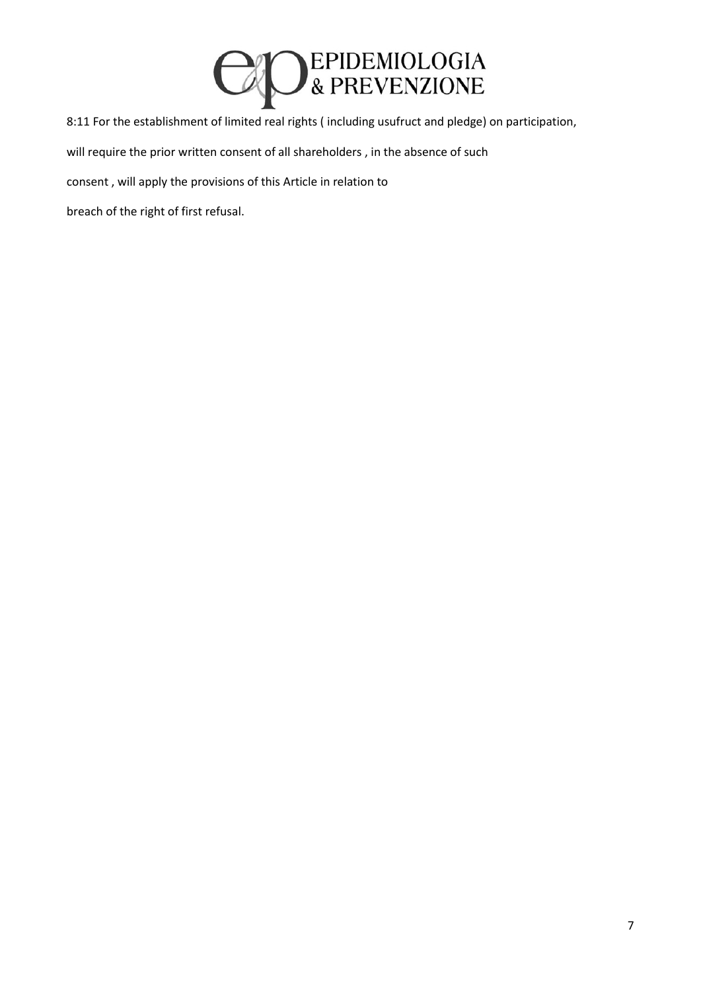

8:11 For the establishment of limited real rights ( including usufruct and pledge) on participation,

will require the prior written consent of all shareholders , in the absence of such

consent , will apply the provisions of this Article in relation to

breach of the right of first refusal.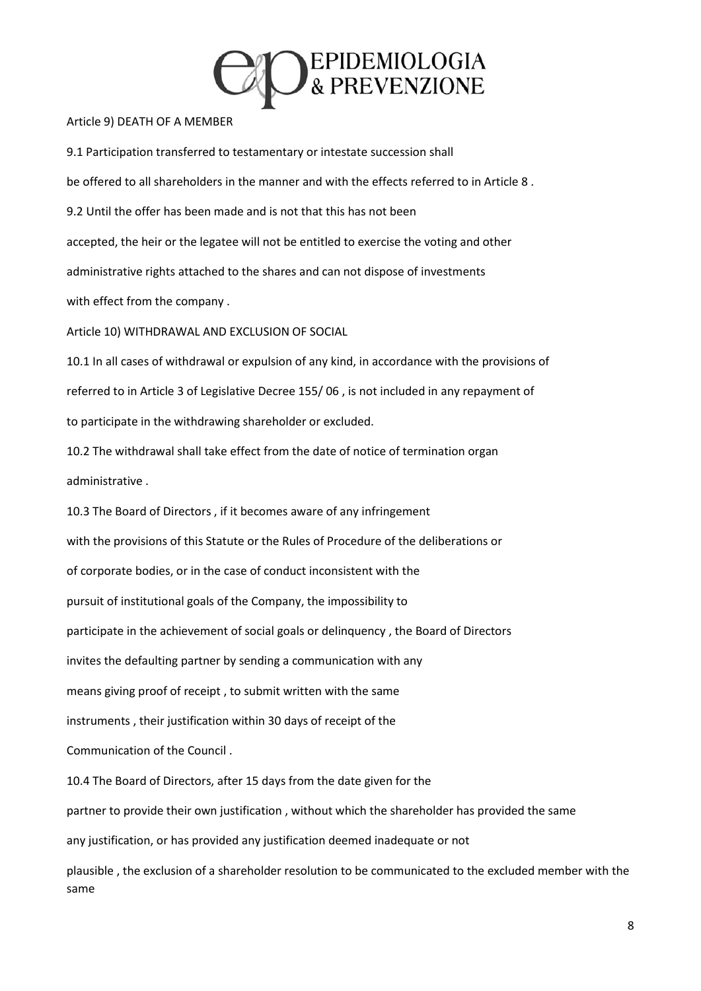

#### Article 9) DEATH OF A MEMBER

9.1 Participation transferred to testamentary or intestate succession shall be offered to all shareholders in the manner and with the effects referred to in Article 8 . 9.2 Until the offer has been made and is not that this has not been accepted, the heir or the legatee will not be entitled to exercise the voting and other administrative rights attached to the shares and can not dispose of investments with effect from the company . Article 10) WITHDRAWAL AND EXCLUSION OF SOCIAL 10.1 In all cases of withdrawal or expulsion of any kind, in accordance with the provisions of referred to in Article 3 of Legislative Decree 155/ 06 , is not included in any repayment of to participate in the withdrawing shareholder or excluded. 10.2 The withdrawal shall take effect from the date of notice of termination organ administrative . 10.3 The Board of Directors , if it becomes aware of any infringement with the provisions of this Statute or the Rules of Procedure of the deliberations or of corporate bodies, or in the case of conduct inconsistent with the pursuit of institutional goals of the Company, the impossibility to participate in the achievement of social goals or delinquency , the Board of Directors invites the defaulting partner by sending a communication with any means giving proof of receipt , to submit written with the same instruments , their justification within 30 days of receipt of the Communication of the Council . 10.4 The Board of Directors, after 15 days from the date given for the partner to provide their own justification , without which the shareholder has provided the same any justification, or has provided any justification deemed inadequate or not

plausible , the exclusion of a shareholder resolution to be communicated to the excluded member with the same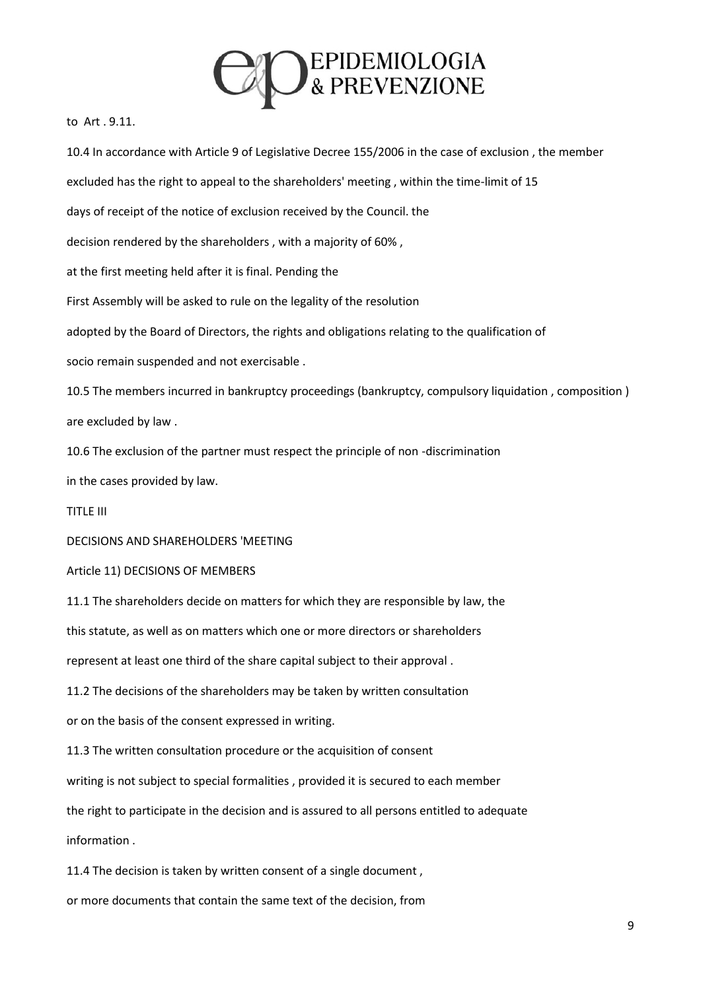

to Art . 9.11.

10.4 In accordance with Article 9 of Legislative Decree 155/2006 in the case of exclusion , the member excluded has the right to appeal to the shareholders' meeting , within the time-limit of 15 days of receipt of the notice of exclusion received by the Council. the decision rendered by the shareholders , with a majority of 60% , at the first meeting held after it is final. Pending the First Assembly will be asked to rule on the legality of the resolution adopted by the Board of Directors, the rights and obligations relating to the qualification of socio remain suspended and not exercisable . 10.5 The members incurred in bankruptcy proceedings (bankruptcy, compulsory liquidation , composition ) are excluded by law . 10.6 The exclusion of the partner must respect the principle of non -discrimination in the cases provided by law. TITLE III DECISIONS AND SHAREHOLDERS 'MEETING Article 11) DECISIONS OF MEMBERS 11.1 The shareholders decide on matters for which they are responsible by law, the this statute, as well as on matters which one or more directors or shareholders represent at least one third of the share capital subject to their approval . 11.2 The decisions of the shareholders may be taken by written consultation or on the basis of the consent expressed in writing. 11.3 The written consultation procedure or the acquisition of consent writing is not subject to special formalities , provided it is secured to each member the right to participate in the decision and is assured to all persons entitled to adequate information . 11.4 The decision is taken by written consent of a single document , or more documents that contain the same text of the decision, from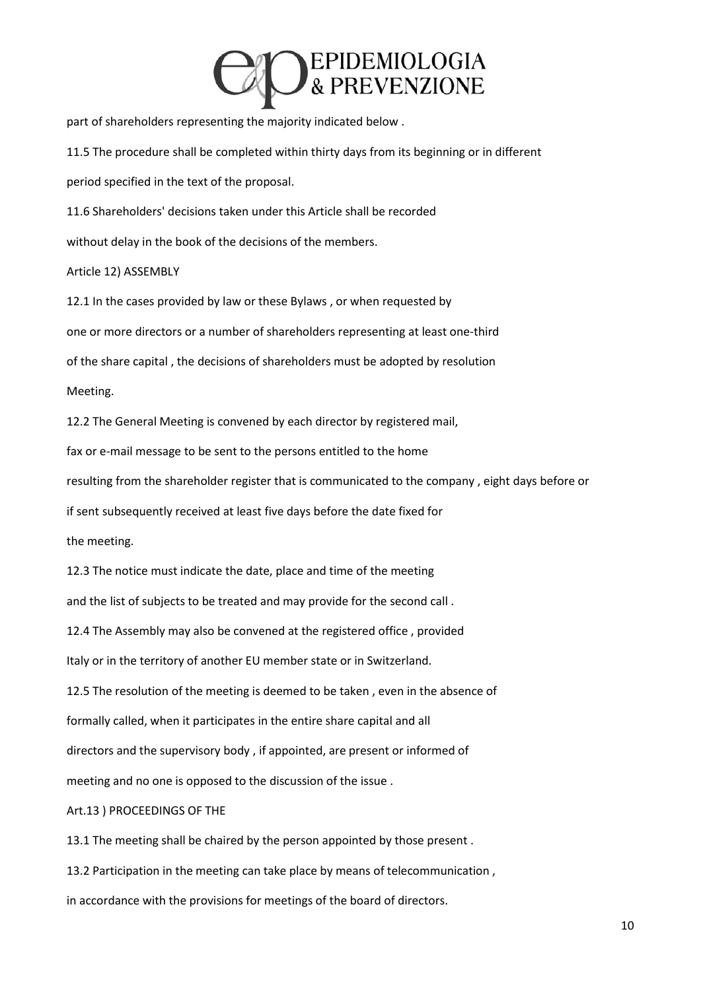### **EPIDEMIOLOGIA**<br>& PREVENZIONE

part of shareholders representing the majority indicated below .

11.5 The procedure shall be completed within thirty days from its beginning or in different

period specified in the text of the proposal.

11.6 Shareholders' decisions taken under this Article shall be recorded

without delay in the book of the decisions of the members.

Article 12) ASSEMBLY

12.1 In the cases provided by law or these Bylaws , or when requested by one or more directors or a number of shareholders representing at least one-third of the share capital , the decisions of shareholders must be adopted by resolution Meeting.

12.2 The General Meeting is convened by each director by registered mail,

fax or e-mail message to be sent to the persons entitled to the home

resulting from the shareholder register that is communicated to the company , eight days before or

if sent subsequently received at least five days before the date fixed for

the meeting.

12.3 The notice must indicate the date, place and time of the meeting and the list of subjects to be treated and may provide for the second call .

12.4 The Assembly may also be convened at the registered office , provided

Italy or in the territory of another EU member state or in Switzerland.

12.5 The resolution of the meeting is deemed to be taken , even in the absence of

formally called, when it participates in the entire share capital and all

directors and the supervisory body , if appointed, are present or informed of

meeting and no one is opposed to the discussion of the issue .

### Art.13 ) PROCEEDINGS OF THE

13.1 The meeting shall be chaired by the person appointed by those present .

13.2 Participation in the meeting can take place by means of telecommunication ,

in accordance with the provisions for meetings of the board of directors.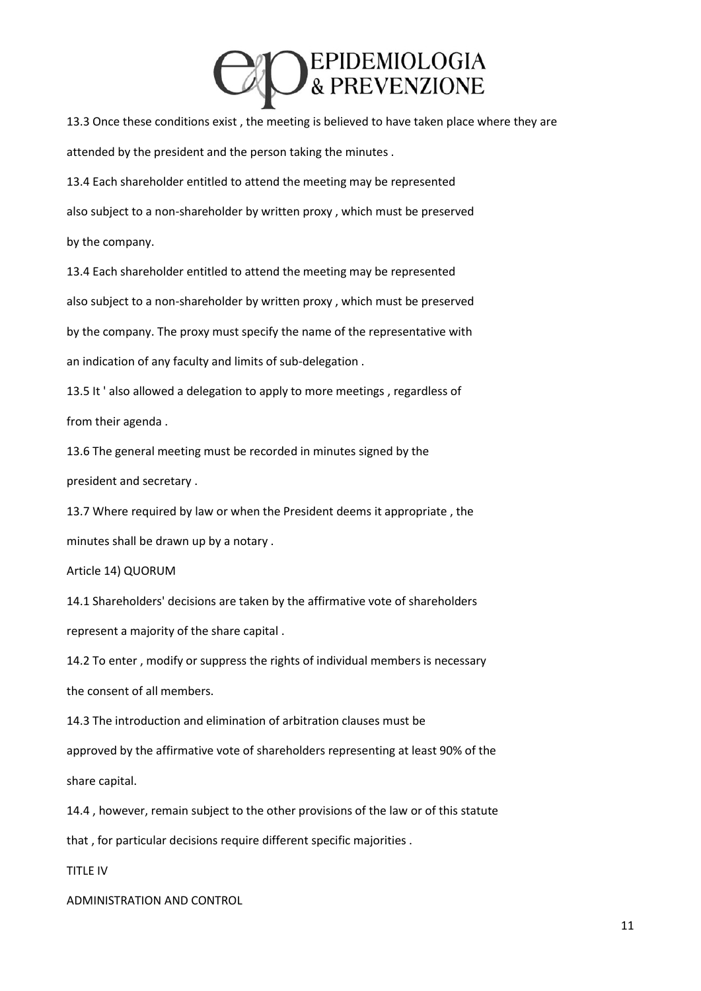## **DEPIDEMIOLOGIA**<br>& PREVENZIONE

13.3 Once these conditions exist , the meeting is believed to have taken place where they are attended by the president and the person taking the minutes .

13.4 Each shareholder entitled to attend the meeting may be represented also subject to a non-shareholder by written proxy , which must be preserved by the company.

13.4 Each shareholder entitled to attend the meeting may be represented also subject to a non-shareholder by written proxy , which must be preserved by the company. The proxy must specify the name of the representative with an indication of any faculty and limits of sub-delegation .

13.5 It ' also allowed a delegation to apply to more meetings , regardless of from their agenda .

13.6 The general meeting must be recorded in minutes signed by the president and secretary .

13.7 Where required by law or when the President deems it appropriate , the minutes shall be drawn up by a notary .

Article 14) QUORUM

14.1 Shareholders' decisions are taken by the affirmative vote of shareholders represent a majority of the share capital .

14.2 To enter , modify or suppress the rights of individual members is necessary the consent of all members.

14.3 The introduction and elimination of arbitration clauses must be

approved by the affirmative vote of shareholders representing at least 90% of the share capital.

14.4 , however, remain subject to the other provisions of the law or of this statute

that , for particular decisions require different specific majorities .

TITLE IV

ADMINISTRATION AND CONTROL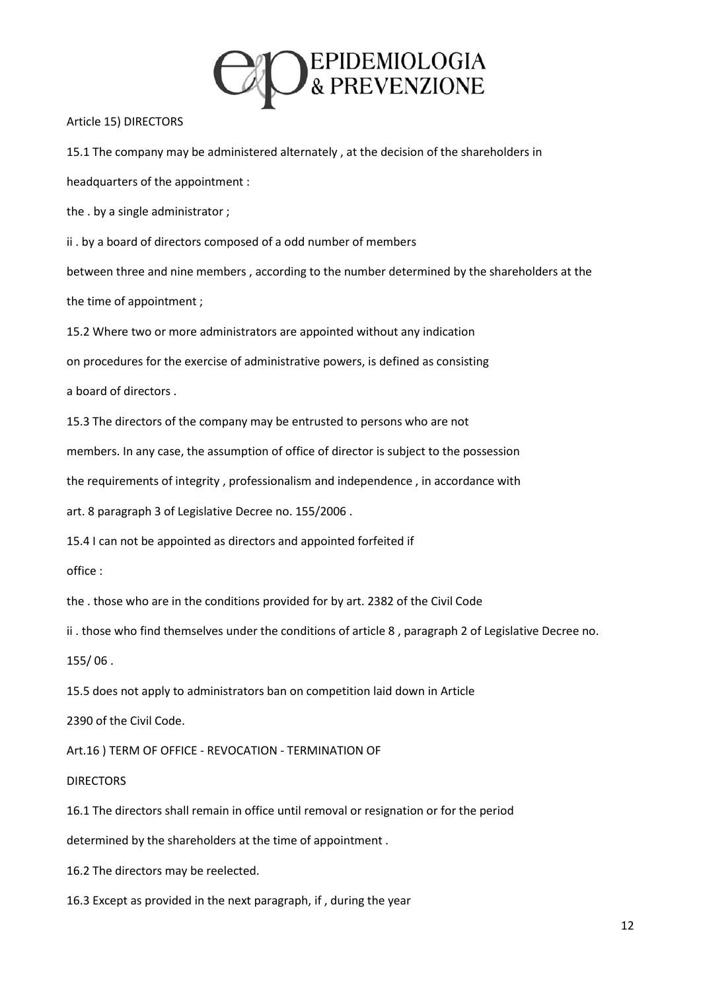

#### Article 15) DIRECTORS

15.1 The company may be administered alternately , at the decision of the shareholders in headquarters of the appointment :

the . by a single administrator ;

ii . by a board of directors composed of a odd number of members

between three and nine members , according to the number determined by the shareholders at the

the time of appointment ;

15.2 Where two or more administrators are appointed without any indication

on procedures for the exercise of administrative powers, is defined as consisting

a board of directors .

15.3 The directors of the company may be entrusted to persons who are not

members. In any case, the assumption of office of director is subject to the possession

the requirements of integrity , professionalism and independence , in accordance with

art. 8 paragraph 3 of Legislative Decree no. 155/2006 .

15.4 I can not be appointed as directors and appointed forfeited if

office :

the . those who are in the conditions provided for by art. 2382 of the Civil Code

ii . those who find themselves under the conditions of article 8 , paragraph 2 of Legislative Decree no.

155/ 06 .

15.5 does not apply to administrators ban on competition laid down in Article

2390 of the Civil Code.

Art.16 ) TERM OF OFFICE - REVOCATION - TERMINATION OF

### DIRECTORS

16.1 The directors shall remain in office until removal or resignation or for the period

determined by the shareholders at the time of appointment .

16.2 The directors may be reelected.

16.3 Except as provided in the next paragraph, if , during the year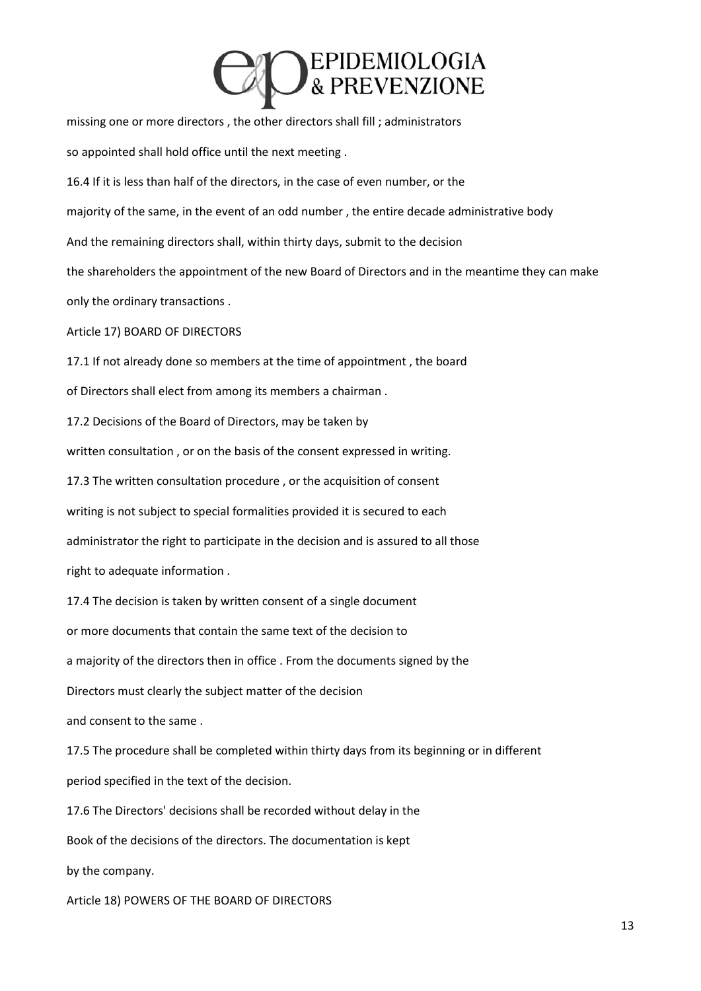# **DEPIDEMIOLOGIA**<br>& PREVENZIONE

missing one or more directors , the other directors shall fill ; administrators so appointed shall hold office until the next meeting . 16.4 If it is less than half of the directors, in the case of even number, or the majority of the same, in the event of an odd number , the entire decade administrative body And the remaining directors shall, within thirty days, submit to the decision the shareholders the appointment of the new Board of Directors and in the meantime they can make only the ordinary transactions . Article 17) BOARD OF DIRECTORS 17.1 If not already done so members at the time of appointment , the board of Directors shall elect from among its members a chairman . 17.2 Decisions of the Board of Directors, may be taken by written consultation , or on the basis of the consent expressed in writing. 17.3 The written consultation procedure , or the acquisition of consent writing is not subject to special formalities provided it is secured to each administrator the right to participate in the decision and is assured to all those right to adequate information . 17.4 The decision is taken by written consent of a single document or more documents that contain the same text of the decision to a majority of the directors then in office . From the documents signed by the Directors must clearly the subject matter of the decision and consent to the same . 17.5 The procedure shall be completed within thirty days from its beginning or in different period specified in the text of the decision. 17.6 The Directors' decisions shall be recorded without delay in the Book of the decisions of the directors. The documentation is kept by the company. Article 18) POWERS OF THE BOARD OF DIRECTORS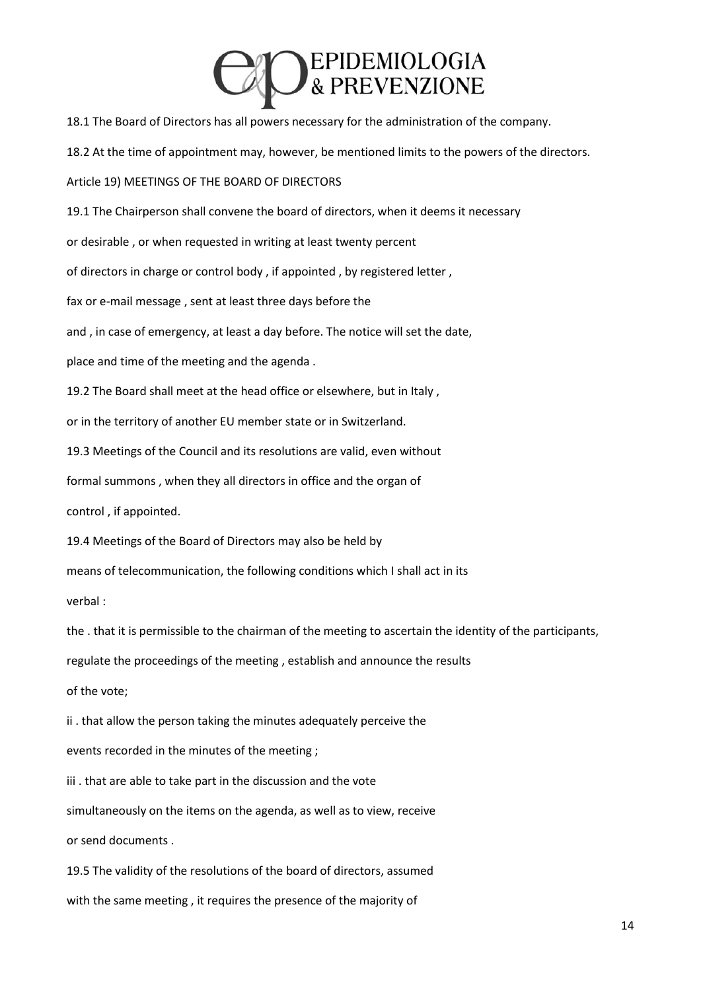

18.1 The Board of Directors has all powers necessary for the administration of the company. 18.2 At the time of appointment may, however, be mentioned limits to the powers of the directors. Article 19) MEETINGS OF THE BOARD OF DIRECTORS 19.1 The Chairperson shall convene the board of directors, when it deems it necessary or desirable , or when requested in writing at least twenty percent of directors in charge or control body , if appointed , by registered letter , fax or e-mail message , sent at least three days before the and , in case of emergency, at least a day before. The notice will set the date, place and time of the meeting and the agenda . 19.2 The Board shall meet at the head office or elsewhere, but in Italy , or in the territory of another EU member state or in Switzerland. 19.3 Meetings of the Council and its resolutions are valid, even without formal summons , when they all directors in office and the organ of control , if appointed. 19.4 Meetings of the Board of Directors may also be held by means of telecommunication, the following conditions which I shall act in its verbal : the . that it is permissible to the chairman of the meeting to ascertain the identity of the participants, regulate the proceedings of the meeting , establish and announce the results of the vote; ii . that allow the person taking the minutes adequately perceive the events recorded in the minutes of the meeting ; iii . that are able to take part in the discussion and the vote simultaneously on the items on the agenda, as well as to view, receive or send documents . 19.5 The validity of the resolutions of the board of directors, assumed

with the same meeting , it requires the presence of the majority of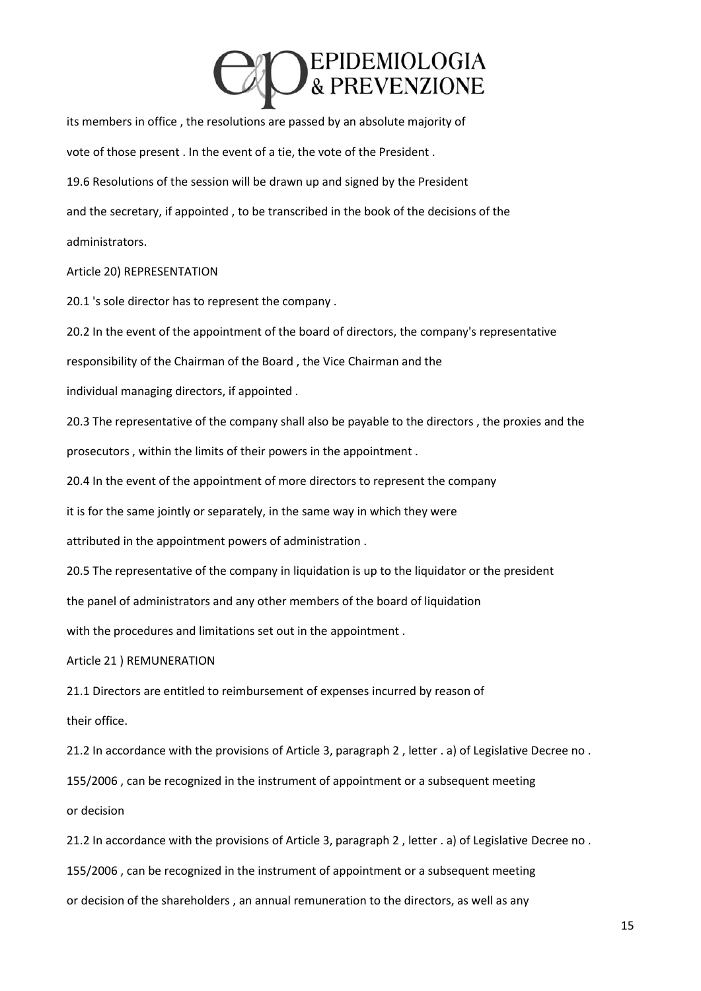## EPIDEMIOLOGIA<br>& PREVENZIONE

its members in office , the resolutions are passed by an absolute majority of vote of those present . In the event of a tie, the vote of the President . 19.6 Resolutions of the session will be drawn up and signed by the President and the secretary, if appointed , to be transcribed in the book of the decisions of the administrators.

### Article 20) REPRESENTATION

20.1 's sole director has to represent the company .

20.2 In the event of the appointment of the board of directors, the company's representative

responsibility of the Chairman of the Board , the Vice Chairman and the

individual managing directors, if appointed .

20.3 The representative of the company shall also be payable to the directors , the proxies and the prosecutors , within the limits of their powers in the appointment .

20.4 In the event of the appointment of more directors to represent the company

it is for the same jointly or separately, in the same way in which they were

attributed in the appointment powers of administration .

20.5 The representative of the company in liquidation is up to the liquidator or the president

the panel of administrators and any other members of the board of liquidation

with the procedures and limitations set out in the appointment .

Article 21 ) REMUNERATION

21.1 Directors are entitled to reimbursement of expenses incurred by reason of

their office.

21.2 In accordance with the provisions of Article 3, paragraph 2 , letter . a) of Legislative Decree no .

155/2006 , can be recognized in the instrument of appointment or a subsequent meeting

or decision

21.2 In accordance with the provisions of Article 3, paragraph 2 , letter . a) of Legislative Decree no .

155/2006 , can be recognized in the instrument of appointment or a subsequent meeting

or decision of the shareholders , an annual remuneration to the directors, as well as any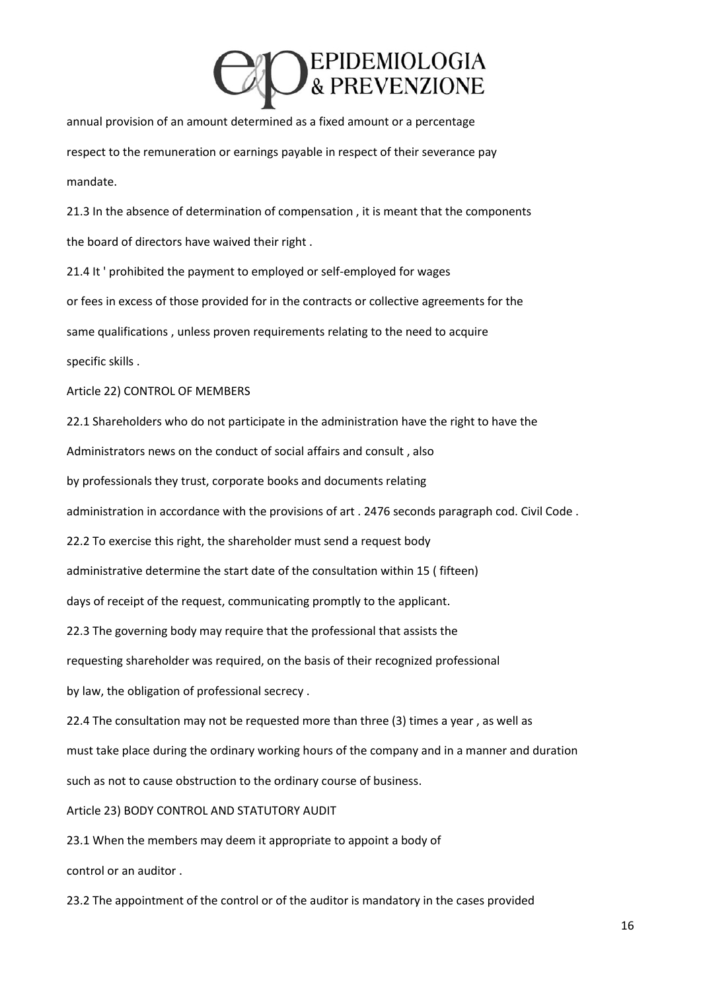## **DEPIDEMIOLOGIA**<br>& PREVENZIONE

annual provision of an amount determined as a fixed amount or a percentage respect to the remuneration or earnings payable in respect of their severance pay mandate.

21.3 In the absence of determination of compensation , it is meant that the components the board of directors have waived their right .

21.4 It ' prohibited the payment to employed or self-employed for wages or fees in excess of those provided for in the contracts or collective agreements for the same qualifications , unless proven requirements relating to the need to acquire specific skills .

Article 22) CONTROL OF MEMBERS

22.1 Shareholders who do not participate in the administration have the right to have the

Administrators news on the conduct of social affairs and consult , also

by professionals they trust, corporate books and documents relating

administration in accordance with the provisions of art . 2476 seconds paragraph cod. Civil Code .

22.2 To exercise this right, the shareholder must send a request body

administrative determine the start date of the consultation within 15 ( fifteen)

days of receipt of the request, communicating promptly to the applicant.

22.3 The governing body may require that the professional that assists the

requesting shareholder was required, on the basis of their recognized professional

by law, the obligation of professional secrecy .

22.4 The consultation may not be requested more than three (3) times a year , as well as

must take place during the ordinary working hours of the company and in a manner and duration

such as not to cause obstruction to the ordinary course of business.

Article 23) BODY CONTROL AND STATUTORY AUDIT

23.1 When the members may deem it appropriate to appoint a body of

control or an auditor .

23.2 The appointment of the control or of the auditor is mandatory in the cases provided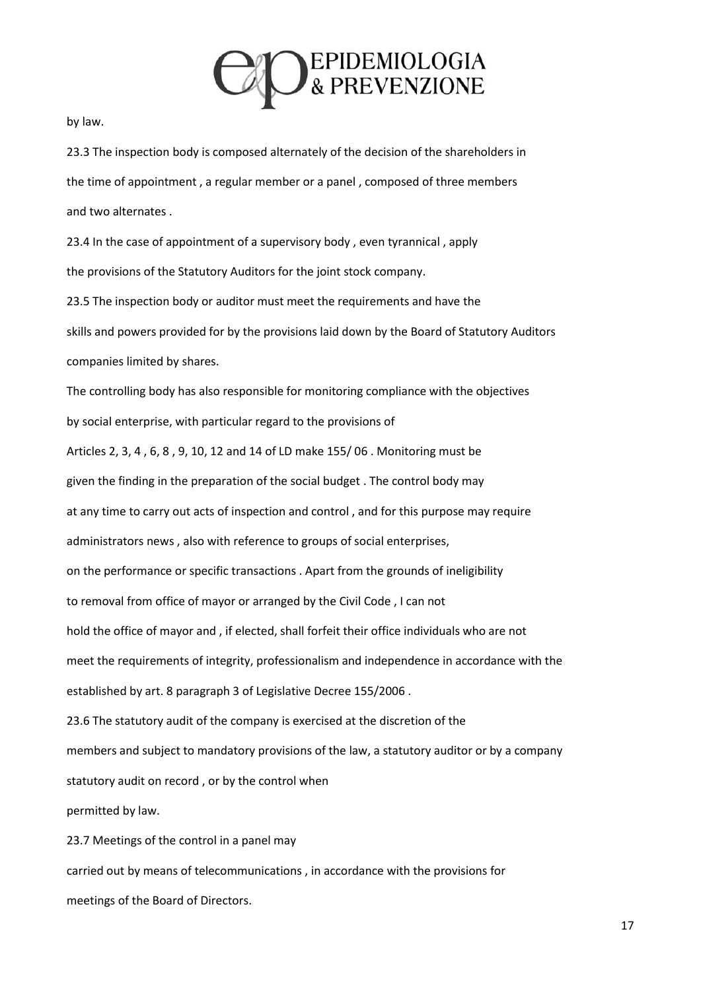

by law.

23.3 The inspection body is composed alternately of the decision of the shareholders in the time of appointment , a regular member or a panel , composed of three members and two alternates .

23.4 In the case of appointment of a supervisory body , even tyrannical , apply the provisions of the Statutory Auditors for the joint stock company.

23.5 The inspection body or auditor must meet the requirements and have the skills and powers provided for by the provisions laid down by the Board of Statutory Auditors companies limited by shares.

The controlling body has also responsible for monitoring compliance with the objectives by social enterprise, with particular regard to the provisions of Articles 2, 3, 4 , 6, 8 , 9, 10, 12 and 14 of LD make 155/ 06 . Monitoring must be given the finding in the preparation of the social budget . The control body may at any time to carry out acts of inspection and control , and for this purpose may require administrators news , also with reference to groups of social enterprises, on the performance or specific transactions . Apart from the grounds of ineligibility to removal from office of mayor or arranged by the Civil Code , I can not hold the office of mayor and , if elected, shall forfeit their office individuals who are not meet the requirements of integrity, professionalism and independence in accordance with the established by art. 8 paragraph 3 of Legislative Decree 155/2006 . 23.6 The statutory audit of the company is exercised at the discretion of the members and subject to mandatory provisions of the law, a statutory auditor or by a company statutory audit on record , or by the control when permitted by law. 23.7 Meetings of the control in a panel may

carried out by means of telecommunications , in accordance with the provisions for meetings of the Board of Directors.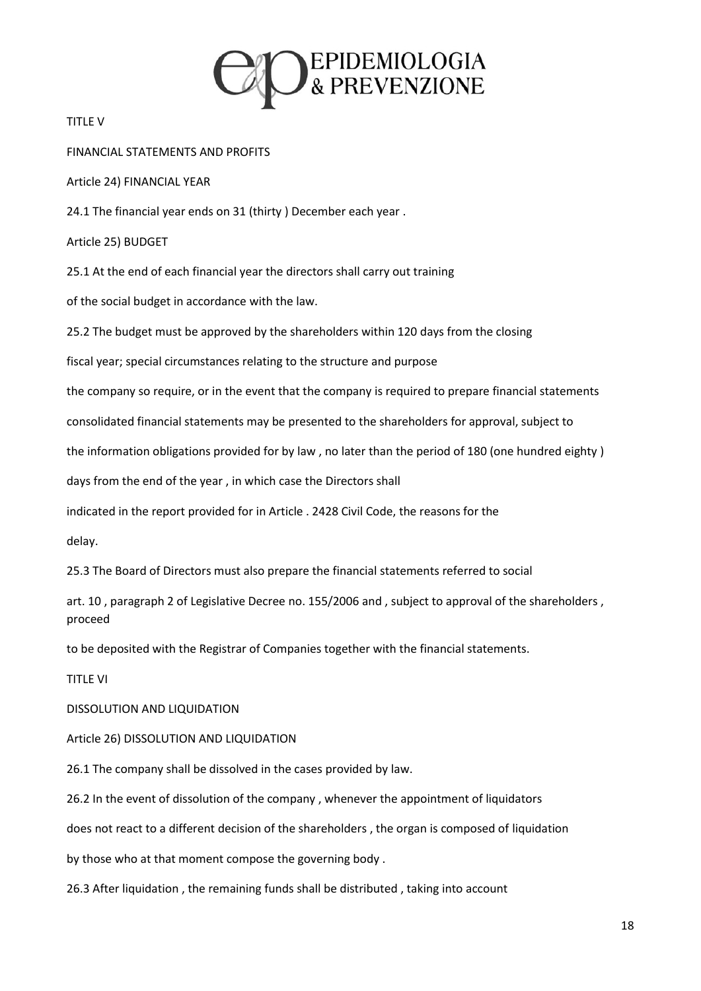

TITLE V

FINANCIAL STATEMENTS AND PROFITS

Article 24) FINANCIAL YEAR

24.1 The financial year ends on 31 (thirty ) December each year .

Article 25) BUDGET

25.1 At the end of each financial year the directors shall carry out training

of the social budget in accordance with the law.

25.2 The budget must be approved by the shareholders within 120 days from the closing

fiscal year; special circumstances relating to the structure and purpose

the company so require, or in the event that the company is required to prepare financial statements

consolidated financial statements may be presented to the shareholders for approval, subject to

the information obligations provided for by law , no later than the period of 180 (one hundred eighty )

days from the end of the year , in which case the Directors shall

indicated in the report provided for in Article . 2428 Civil Code, the reasons for the

delay.

25.3 The Board of Directors must also prepare the financial statements referred to social

art. 10 , paragraph 2 of Legislative Decree no. 155/2006 and , subject to approval of the shareholders , proceed

to be deposited with the Registrar of Companies together with the financial statements.

TITLE VI

DISSOLUTION AND LIQUIDATION

Article 26) DISSOLUTION AND LIQUIDATION

26.1 The company shall be dissolved in the cases provided by law.

26.2 In the event of dissolution of the company , whenever the appointment of liquidators

does not react to a different decision of the shareholders , the organ is composed of liquidation

by those who at that moment compose the governing body .

26.3 After liquidation , the remaining funds shall be distributed , taking into account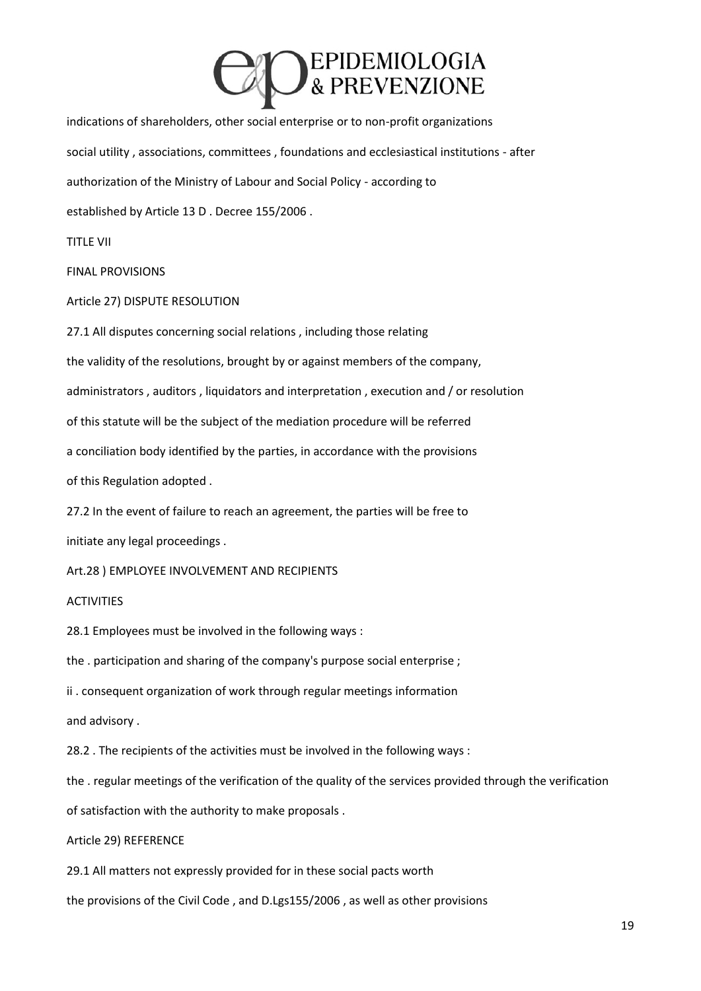

indications of shareholders, other social enterprise or to non-profit organizations social utility , associations, committees , foundations and ecclesiastical institutions - after authorization of the Ministry of Labour and Social Policy - according to established by Article 13 D . Decree 155/2006 .

TITLE VII

FINAL PROVISIONS

Article 27) DISPUTE RESOLUTION

27.1 All disputes concerning social relations , including those relating

the validity of the resolutions, brought by or against members of the company,

administrators , auditors , liquidators and interpretation , execution and / or resolution

of this statute will be the subject of the mediation procedure will be referred

a conciliation body identified by the parties, in accordance with the provisions

of this Regulation adopted .

27.2 In the event of failure to reach an agreement, the parties will be free to

initiate any legal proceedings .

Art.28 ) EMPLOYEE INVOLVEMENT AND RECIPIENTS

### ACTIVITIES

28.1 Employees must be involved in the following ways :

the . participation and sharing of the company's purpose social enterprise ;

ii . consequent organization of work through regular meetings information

and advisory .

28.2 . The recipients of the activities must be involved in the following ways :

the . regular meetings of the verification of the quality of the services provided through the verification

of satisfaction with the authority to make proposals .

Article 29) REFERENCE

29.1 All matters not expressly provided for in these social pacts worth

the provisions of the Civil Code , and D.Lgs155/2006 , as well as other provisions